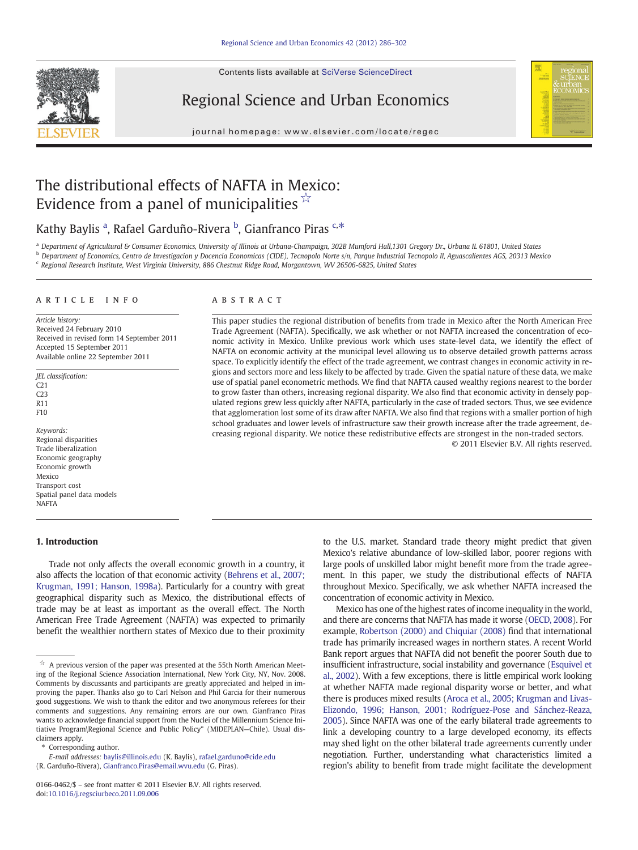Contents lists available at SciVerse ScienceDirect



Regional Science and Urban Economics



journal homepage: www.elsevier.com/locate/regec

## The distributional effects of NAFTA in Mexico: Evidence from a panel of municipalities  $\overline{a}$

## Kathy Baylis <sup>a</sup>, Rafael Garduño-Rivera <sup>b</sup>, Gianfranco Piras <sup>c,\*</sup>

<sup>a</sup> Department of Agricultural & Consumer Economics, University of Illinois at Urbana-Champaign, 302B Mumford Hall,1301 Gregory Dr., Urbana IL 61801, United States  $^{\rm b}$  Department of Economics, Centro de Investigacion y Docencia Economicas (CIDE), Tecnopolo Norte s/n, Parque Industrial Tecnopolo II, Aguascalientes AGS, 20313 Mexico

<sup>c</sup> Regional Research Institute, West Virginia University, 886 Chestnut Ridge Road, Morgantown, WV 26506-6825, United States

### article info abstract

Article history: Received 24 February 2010 Received in revised form 14 September 2011 Accepted 15 September 2011 Available online 22 September 2011

JEL classification: C21 C23 R11  $F10$ 

Keywords: Regional disparities Trade liberalization Economic geography Economic growth Mexico Transport cost Spatial panel data models NAFTA

### 1. Introduction

Trade not only affects the overall economic growth in a country, it also affects the location of that economic activity ([Behrens et al., 2007;](#page--1-0) [Krugman, 1991; Hanson, 1998a\)](#page--1-0). Particularly for a country with great geographical disparity such as Mexico, the distributional effects of trade may be at least as important as the overall effect. The North American Free Trade Agreement (NAFTA) was expected to primarily benefit the wealthier northern states of Mexico due to their proximity

Corresponding author.

This paper studies the regional distribution of benefits from trade in Mexico after the North American Free Trade Agreement (NAFTA). Specifically, we ask whether or not NAFTA increased the concentration of economic activity in Mexico. Unlike previous work which uses state-level data, we identify the effect of NAFTA on economic activity at the municipal level allowing us to observe detailed growth patterns across space. To explicitly identify the effect of the trade agreement, we contrast changes in economic activity in regions and sectors more and less likely to be affected by trade. Given the spatial nature of these data, we make use of spatial panel econometric methods. We find that NAFTA caused wealthy regions nearest to the border to grow faster than others, increasing regional disparity. We also find that economic activity in densely populated regions grew less quickly after NAFTA, particularly in the case of traded sectors. Thus, we see evidence that agglomeration lost some of its draw after NAFTA. We also find that regions with a smaller portion of high school graduates and lower levels of infrastructure saw their growth increase after the trade agreement, decreasing regional disparity. We notice these redistributive effects are strongest in the non-traded sectors. © 2011 Elsevier B.V. All rights reserved.

> to the U.S. market. Standard trade theory might predict that given Mexico's relative abundance of low-skilled labor, poorer regions with large pools of unskilled labor might benefit more from the trade agreement. In this paper, we study the distributional effects of NAFTA throughout Mexico. Specifically, we ask whether NAFTA increased the concentration of economic activity in Mexico.

> Mexico has one of the highest rates of income inequality in the world, and there are concerns that NAFTA has made it worse [\(OECD, 2008\)](#page--1-0). For example, [Robertson \(2000\) and Chiquiar \(2008\)](#page--1-0) find that international trade has primarily increased wages in northern states. A recent World Bank report argues that NAFTA did not benefit the poorer South due to insufficient infrastructure, social instability and governance [\(Esquivel et](#page--1-0) [al., 2002](#page--1-0)). With a few exceptions, there is little empirical work looking at whether NAFTA made regional disparity worse or better, and what there is produces mixed results [\(Aroca et al., 2005; Krugman and Livas-](#page--1-0)[Elizondo, 1996; Hanson, 2001; Rodríguez-Pose and Sánchez-Reaza,](#page--1-0) [2005](#page--1-0)). Since NAFTA was one of the early bilateral trade agreements to link a developing country to a large developed economy, its effects may shed light on the other bilateral trade agreements currently under negotiation. Further, understanding what characteristics limited a region's ability to benefit from trade might facilitate the development

 $\overleftrightarrow{\mathbf{r}}$  A previous version of the paper was presented at the 55th North American Meeting of the Regional Science Association International, New York City, NY, Nov. 2008. Comments by discussants and participants are greatly appreciated and helped in improving the paper. Thanks also go to Carl Nelson and Phil Garcia for their numerous good suggestions. We wish to thank the editor and two anonymous referees for their comments and suggestions. Any remaining errors are our own. Gianfranco Piras wants to acknowledge financial support from the Nuclei of the Millennium Science Initiative Program\Regional Science and Public Policy" (MIDEPLAN—Chile). Usual disclaimers apply.

E-mail addresses: [baylis@illinois.edu](mailto:baylis@illinois.edu) (K. Baylis), [rafael.garduno@cide.edu](mailto:rafael.garduno@cide.edu) (R. Garduño-Rivera), [Gianfranco.Piras@email.wvu.edu](mailto:Gianfranco.Piras@email.wvu.edu) (G. Piras).

<sup>0166-0462/\$</sup> – see front matter © 2011 Elsevier B.V. All rights reserved. doi[:10.1016/j.regsciurbeco.2011.09.006](http://dx.doi.org/10.1016/j.regsciurbeco.2011.09.006)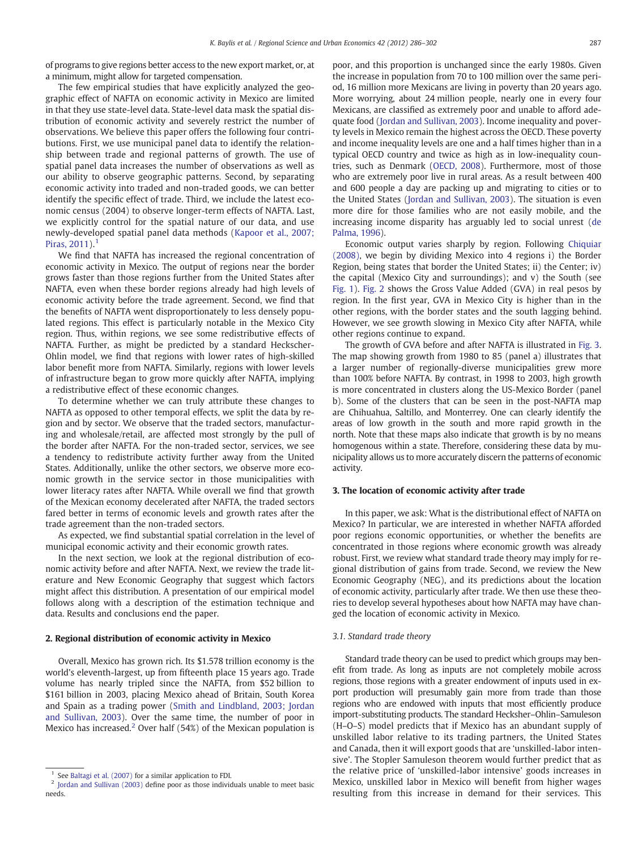of programs to give regions better access to the new export market, or, at a minimum, might allow for targeted compensation.

The few empirical studies that have explicitly analyzed the geographic effect of NAFTA on economic activity in Mexico are limited in that they use state-level data. State-level data mask the spatial distribution of economic activity and severely restrict the number of observations. We believe this paper offers the following four contributions. First, we use municipal panel data to identify the relationship between trade and regional patterns of growth. The use of spatial panel data increases the number of observations as well as our ability to observe geographic patterns. Second, by separating economic activity into traded and non-traded goods, we can better identify the specific effect of trade. Third, we include the latest economic census (2004) to observe longer-term effects of NAFTA. Last, we explicitly control for the spatial nature of our data, and use newly-developed spatial panel data methods ([Kapoor et al., 2007;](#page--1-0) [Piras, 2011](#page--1-0)).<sup>1</sup>

We find that NAFTA has increased the regional concentration of economic activity in Mexico. The output of regions near the border grows faster than those regions further from the United States after NAFTA, even when these border regions already had high levels of economic activity before the trade agreement. Second, we find that the benefits of NAFTA went disproportionately to less densely populated regions. This effect is particularly notable in the Mexico City region. Thus, within regions, we see some redistributive effects of NAFTA. Further, as might be predicted by a standard Heckscher-Ohlin model, we find that regions with lower rates of high-skilled labor benefit more from NAFTA. Similarly, regions with lower levels of infrastructure began to grow more quickly after NAFTA, implying a redistributive effect of these economic changes.

To determine whether we can truly attribute these changes to NAFTA as opposed to other temporal effects, we split the data by region and by sector. We observe that the traded sectors, manufacturing and wholesale/retail, are affected most strongly by the pull of the border after NAFTA. For the non-traded sector, services, we see a tendency to redistribute activity further away from the United States. Additionally, unlike the other sectors, we observe more economic growth in the service sector in those municipalities with lower literacy rates after NAFTA. While overall we find that growth of the Mexican economy decelerated after NAFTA, the traded sectors fared better in terms of economic levels and growth rates after the trade agreement than the non-traded sectors.

As expected, we find substantial spatial correlation in the level of municipal economic activity and their economic growth rates.

In the next section, we look at the regional distribution of economic activity before and after NAFTA. Next, we review the trade literature and New Economic Geography that suggest which factors might affect this distribution. A presentation of our empirical model follows along with a description of the estimation technique and data. Results and conclusions end the paper.

### 2. Regional distribution of economic activity in Mexico

Overall, Mexico has grown rich. Its \$1.578 trillion economy is the world's eleventh-largest, up from fifteenth place 15 years ago. Trade volume has nearly tripled since the NAFTA, from \$52 billion to \$161 billion in 2003, placing Mexico ahead of Britain, South Korea and Spain as a trading power ([Smith and Lindbland, 2003; Jordan](#page--1-0) [and Sullivan, 2003](#page--1-0)). Over the same time, the number of poor in Mexico has increased.<sup>2</sup> Over half (54%) of the Mexican population is poor, and this proportion is unchanged since the early 1980s. Given the increase in population from 70 to 100 million over the same period, 16 million more Mexicans are living in poverty than 20 years ago. More worrying, about 24 million people, nearly one in every four Mexicans, are classified as extremely poor and unable to afford adequate food ([Jordan and Sullivan, 2003](#page--1-0)). Income inequality and poverty levels in Mexico remain the highest across the OECD. These poverty and income inequality levels are one and a half times higher than in a typical OECD country and twice as high as in low-inequality countries, such as Denmark [\(OECD, 2008\)](#page--1-0). Furthermore, most of those who are extremely poor live in rural areas. As a result between 400 and 600 people a day are packing up and migrating to cities or to the United States ([Jordan and Sullivan, 2003\)](#page--1-0). The situation is even more dire for those families who are not easily mobile, and the increasing income disparity has arguably led to social unrest ([de](#page--1-0) [Palma, 1996](#page--1-0)).

Economic output varies sharply by region. Following [Chiquiar](#page--1-0) [\(2008\),](#page--1-0) we begin by dividing Mexico into 4 regions i) the Border Region, being states that border the United States; ii) the Center; iv) the capital (Mexico City and surroundings); and v) the South (see [Fig. 1\)](#page--1-0). [Fig. 2](#page--1-0) shows the Gross Value Added (GVA) in real pesos by region. In the first year, GVA in Mexico City is higher than in the other regions, with the border states and the south lagging behind. However, we see growth slowing in Mexico City after NAFTA, while other regions continue to expand.

The growth of GVA before and after NAFTA is illustrated in [Fig. 3.](#page--1-0) The map showing growth from 1980 to 85 (panel a) illustrates that a larger number of regionally-diverse municipalities grew more than 100% before NAFTA. By contrast, in 1998 to 2003, high growth is more concentrated in clusters along the US-Mexico Border (panel b). Some of the clusters that can be seen in the post-NAFTA map are Chihuahua, Saltillo, and Monterrey. One can clearly identify the areas of low growth in the south and more rapid growth in the north. Note that these maps also indicate that growth is by no means homogenous within a state. Therefore, considering these data by municipality allows us to more accurately discern the patterns of economic activity.

### 3. The location of economic activity after trade

In this paper, we ask: What is the distributional effect of NAFTA on Mexico? In particular, we are interested in whether NAFTA afforded poor regions economic opportunities, or whether the benefits are concentrated in those regions where economic growth was already robust. First, we review what standard trade theory may imply for regional distribution of gains from trade. Second, we review the New Economic Geography (NEG), and its predictions about the location of economic activity, particularly after trade. We then use these theories to develop several hypotheses about how NAFTA may have changed the location of economic activity in Mexico.

### 3.1. Standard trade theory

Standard trade theory can be used to predict which groups may benefit from trade. As long as inputs are not completely mobile across regions, those regions with a greater endowment of inputs used in export production will presumably gain more from trade than those regions who are endowed with inputs that most efficiently produce import-substituting products. The standard Hecksher–Ohlin–Samuleson (H–O–S) model predicts that if Mexico has an abundant supply of unskilled labor relative to its trading partners, the United States and Canada, then it will export goods that are 'unskilled-labor intensive'. The Stopler Samuleson theorem would further predict that as the relative price of 'unskilled-labor intensive' goods increases in Mexico, unskilled labor in Mexico will benefit from higher wages resulting from this increase in demand for their services. This

 $1$  See [Baltagi et al. \(2007\)](#page--1-0) for a similar application to FDI.

<sup>&</sup>lt;sup>2</sup> [Jordan and Sullivan \(2003\)](#page--1-0) define poor as those individuals unable to meet basic needs.